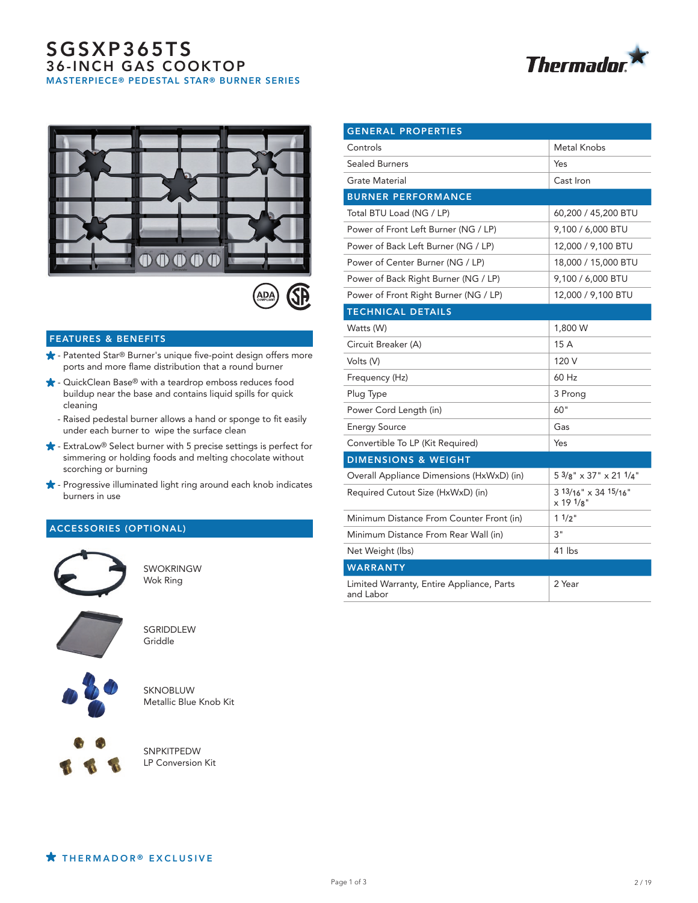# SGSXP365TS 36-INCH GAS COOKTOP MASTERPIECE® PEDESTAL STAR® BURNER SERIES







#### FEATURES & BENEFITS

- ★ Patented Star® Burner's unique five-point design offers more ports and more flame distribution that a round burner
- **★** QuickClean Base® with a teardrop emboss reduces food buildup near the base and contains liquid spills for quick cleaning
	- Raised pedestal burner allows a hand or sponge to fit easily under each burner to wipe the surface clean
- ExtraLow® Select burner with 5 precise settings is perfect for simmering or holding foods and melting chocolate without scorching or burning
- $\star$  Progressive illuminated light ring around each knob indicates burners in use

## ACCESSORIES (OPTIONAL)



SWOKRINGW Wok Ring



**SGRIDDLEW** Griddle



SKNOBLUW Metallic Blue Knob Kit



SNPKITPEDW LP Conversion Kit

| <b>GENERAL PROPERTIES</b>                              |                                                   |
|--------------------------------------------------------|---------------------------------------------------|
| Controls                                               | Metal Knobs                                       |
| <b>Sealed Burners</b>                                  | Yes                                               |
| Grate Material                                         | Cast Iron                                         |
| <b>BURNER PERFORMANCE</b>                              |                                                   |
| Total BTU Load (NG / LP)                               | 60,200 / 45,200 BTU                               |
| Power of Front Left Burner (NG / LP)                   | 9,100 / 6,000 BTU                                 |
| Power of Back Left Burner (NG / LP)                    | 12,000 / 9,100 BTU                                |
| Power of Center Burner (NG / LP)                       | 18,000 / 15,000 BTU                               |
| Power of Back Right Burner (NG / LP)                   | 9,100 / 6,000 BTU                                 |
| Power of Front Right Burner (NG / LP)                  | 12,000 / 9,100 BTU                                |
| <b>TECHNICAL DETAILS</b>                               |                                                   |
| Watts (W)                                              | 1,800 W                                           |
| Circuit Breaker (A)                                    | 15 A                                              |
| Volts (V)                                              | 120 V                                             |
| Frequency (Hz)                                         | 60 Hz                                             |
| Plug Type                                              | 3 Prong                                           |
| Power Cord Length (in)                                 | 60"                                               |
| <b>Energy Source</b>                                   | Gas                                               |
| Convertible To LP (Kit Required)                       | Yes                                               |
| <b>DIMENSIONS &amp; WEIGHT</b>                         |                                                   |
| Overall Appliance Dimensions (HxWxD) (in)              | $5\frac{3}{8}$ " $\times$ 37" $\times$ 21 $1/4$ " |
| Required Cutout Size (HxWxD) (in)                      | 3 13/16" x 34 15/16"<br>x 191/8"                  |
| Minimum Distance From Counter Front (in)               | $11/2$ "                                          |
| Minimum Distance From Rear Wall (in)                   | 3"                                                |
| Net Weight (lbs)                                       | 41 lbs                                            |
| <b>WARRANTY</b>                                        |                                                   |
| Limited Warranty, Entire Appliance, Parts<br>and Labor | 2 Year                                            |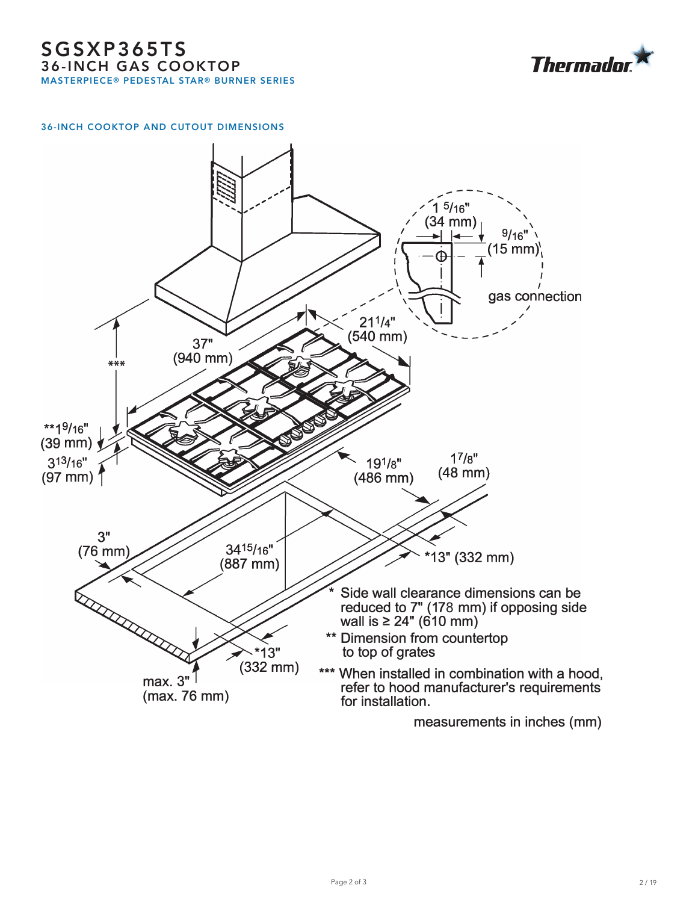

### 36-INCH COOKTOP AND CUTOUT DIMENSIONS